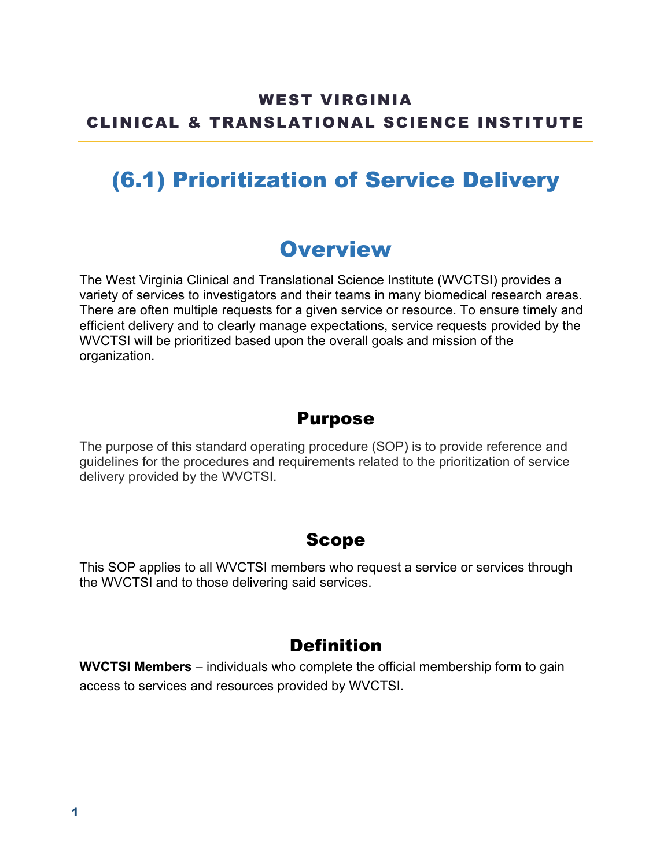#### WEST VIRGINIA CLINICAL & TRANSLATIONAL SCIENCE INSTITUTE

## (6.1) Prioritization of Service Delivery

### **Overview**

The West Virginia Clinical and Translational Science Institute (WVCTSI) provides a variety of services to investigators and their teams in many biomedical research areas. There are often multiple requests for a given service or resource. To ensure timely and efficient delivery and to clearly manage expectations, service requests provided by the WVCTSI will be prioritized based upon the overall goals and mission of the organization.

#### Purpose

The purpose of this standard operating procedure (SOP) is to provide reference and guidelines for the procedures and requirements related to the prioritization of service delivery provided by the WVCTSI.

#### Scope

This SOP applies to all WVCTSI members who request a service or services through the WVCTSI and to those delivering said services.

#### **Definition**

**WVCTSI Members** – individuals who complete the official membership form to gain access to services and resources provided by WVCTSI.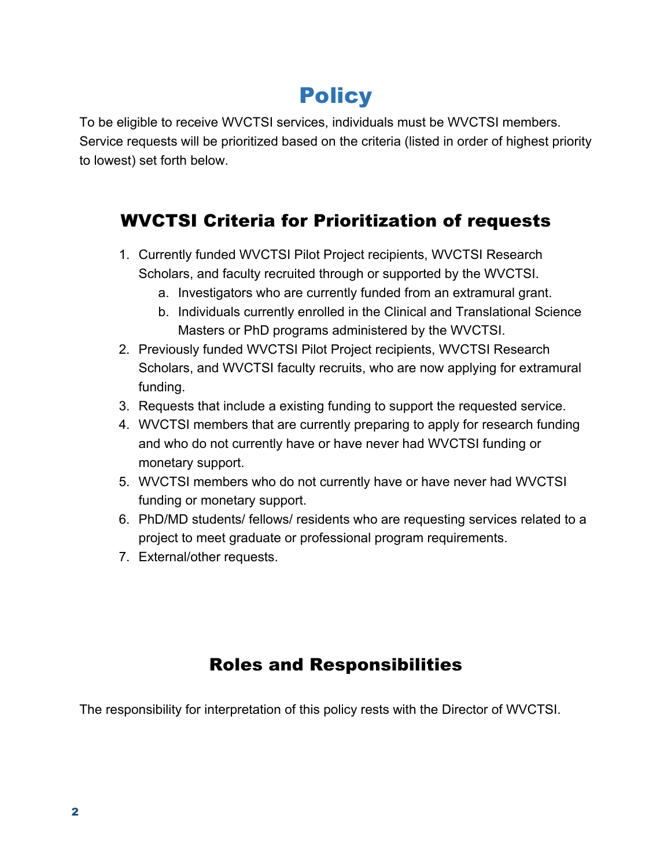# **Policy**

To be eligible to receive WVCTSI services, individuals must be WVCTSI members. Service requests will be prioritized based on the criteria (listed in order of highest priority to lowest) set forth below.

### WVCTSI Criteria for Prioritization of requests

- 1. Currently funded WVCTSI Pilot Project recipients, WVCTSI Research Scholars, and faculty recruited through or supported by the WVCTSI.
	- a. Investigators who are currently funded from an extramural grant.
	- b. Individuals currently enrolled in the Clinical and Translational Science Masters or PhD programs administered by the WVCTSI.
- 2. Previously funded WVCTSI Pilot Project recipients, WVCTSI Research Scholars, and WVCTSI faculty recruits, who are now applying for extramural funding.
- 3. Requests that include a existing funding to support the requested service.
- 4. WVCTSI members that are currently preparing to apply for research funding and who do not currently have or have never had WVCTSI funding or monetary support.
- 5. WVCTSI members who do not currently have or have never had WVCTSI funding or monetary support.
- 6. PhD/MD students/ fellows/ residents who are requesting services related to a project to meet graduate or professional program requirements.
- 7. External/other requests.

### Roles and Responsibilities

The responsibility for interpretation of this policy rests with the Director of WVCTSI.